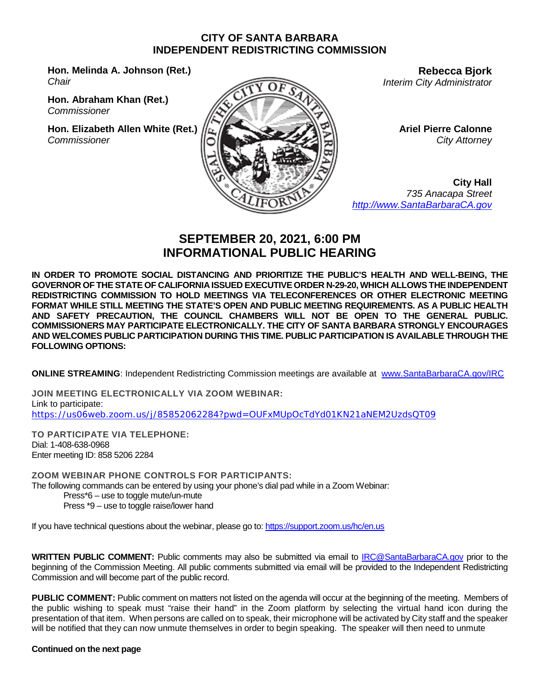#### **CITY OF SANTA BARBARA INDEPENDENT REDISTRICTING COMMISSION**

**Hon. Melinda A. Johnson (Ret.)** *Chair*

**Hon. Abraham Khan (Ret.)** *Commissioner*

**Hon. Elizabeth Allen White (Ret.)** *Commissioner*



**Rebecca Bjork** *Interim City Administrator*

> **Ariel Pierre Calonne** *City Attorney*

**City Hall** *735 Anacapa Street [http://www.SantaBarbaraCA.gov](http://www.santabarbaraca.gov/)*

# **SEPTEMBER 20, 2021, 6:00 PM INFORMATIONAL PUBLIC HEARING**

**IN ORDER TO PROMOTE SOCIAL DISTANCING AND PRIORITIZE THE PUBLIC'S HEALTH AND WELL-BEING, THE GOVERNOR OF THE STATE OF CALIFORNIA ISSUED EXECUTIVE ORDER N-29-20, WHICH ALLOWS THE INDEPENDENT REDISTRICTING COMMISSION TO HOLD MEETINGS VIA TELECONFERENCES OR OTHER ELECTRONIC MEETING FORMAT WHILE STILL MEETING THE STATE'S OPEN AND PUBLIC MEETING REQUIREMENTS. AS A PUBLIC HEALTH AND SAFETY PRECAUTION, THE COUNCIL CHAMBERS WILL NOT BE OPEN TO THE GENERAL PUBLIC. COMMISSIONERS MAY PARTICIPATE ELECTRONICALLY. THE CITY OF SANTA BARBARA STRONGLY ENCOURAGES AND WELCOMES PUBLIC PARTICIPATION DURING THIS TIME. PUBLIC PARTICIPATION IS AVAILABLE THROUGH THE FOLLOWING OPTIONS:**

**ONLINE STREAMING**: Independent Redistricting Commission meetings are available at [www.SantaBarbaraCA.gov/IRC](http://www.santabarbaraca.gov/IRC)

**JOIN MEETING ELECTRONICALLY VIA ZOOM WEBINAR:** Link to participate: <https://us06web.zoom.us/j/85852062284?pwd=OUFxMUpOcTdYd01KN21aNEM2UzdsQT09>

**TO PARTICIPATE VIA TELEPHONE:** Dial: 1-408-638-0968 Enter meeting ID: 858 5206 2284

**ZOOM WEBINAR PHONE CONTROLS FOR PARTICIPANTS:**  The following commands can be entered by using your phone's dial pad while in a Zoom Webinar: Press\*6 – use to toggle mute/un-mute

Press \*9 – use to toggle raise/lower hand

If you have technical questions about the webinar, please go to:<https://support.zoom.us/hc/en.us>

**WRITTEN PUBLIC COMMENT:** Public comments may also be submitted via email to [IRC@SantaBarbaraCA.gov](mailto:IRC@SantaBarbaraCA.gov) prior to the beginning of the Commission Meeting. All public comments submitted via email will be provided to the Independent Redistricting Commission and will become part of the public record.

**PUBLIC COMMENT:** Public comment on matters not listed on the agenda will occur at the beginning of the meeting. Members of the public wishing to speak must "raise their hand" in the Zoom platform by selecting the virtual hand icon during the presentation of that item. When persons are called on to speak, their microphone will be activated by City staff and the speaker will be notified that they can now unmute themselves in order to begin speaking. The speaker will then need to unmute

#### **Continued on the next page**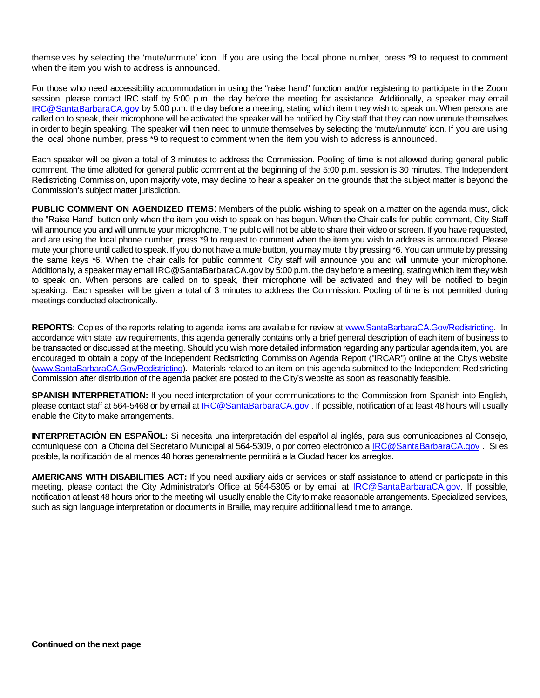themselves by selecting the 'mute/unmute' icon. If you are using the local phone number, press \*9 to request to comment when the item you wish to address is announced.

For those who need accessibility accommodation in using the "raise hand" function and/or registering to participate in the Zoom session, please contact IRC staff by 5:00 p.m. the day before the meeting for assistance. Additionally, a speaker may email [IRC@SantaBarbaraCA.gov](mailto:IRC@SantaBarbaraCA.gov) by 5:00 p.m. the day before a meeting, stating which item they wish to speak on. When persons are called on to speak, their microphone will be activated the speaker will be notified by City staff that they can now unmute themselves in order to begin speaking. The speaker will then need to unmute themselves by selecting the 'mute/unmute' icon. If you are using the local phone number, press \*9 to request to comment when the item you wish to address is announced.

Each speaker will be given a total of 3 minutes to address the Commission. Pooling of time is not allowed during general public comment. The time allotted for general public comment at the beginning of the 5:00 p.m. session is 30 minutes. The Independent Redistricting Commission, upon majority vote, may decline to hear a speaker on the grounds that the subject matter is beyond the Commission's subject matter jurisdiction.

**PUBLIC COMMENT ON AGENDIZED ITEMS**: Members of the public wishing to speak on a matter on the agenda must, click the "Raise Hand" button only when the item you wish to speak on has begun. When the Chair calls for public comment, City Staff will announce you and will unmute your microphone. The public will not be able to share their video or screen. If you have requested, and are using the local phone number, press \*9 to request to comment when the item you wish to address is announced. Please mute your phone until called to speak. If you do not have a mute button, you may mute it by pressing \*6. You can unmute by pressing the same keys \*6. When the chair calls for public comment, City staff will announce you and will unmute your microphone. Additionally, a speaker may emai[l IRC@SantaBarbaraCA.gov](mailto:IRC@SantaBarbaraCA.gov) by 5:00 p.m. the day before a meeting, stating which item they wish to speak on. When persons are called on to speak, their microphone will be activated and they will be notified to begin speaking. Each speaker will be given a total of 3 minutes to address the Commission. Pooling of time is not permitted during meetings conducted electronically.

**REPORTS:** Copies of the reports relating to agenda items are available for review at [www.SantaBarbaraCA.Gov/Redistricting.](http://www.santabarbaraca.gov/Redistricting) In accordance with state law requirements, this agenda generally contains only a brief general description of each item of business to be transacted or discussed at the meeting. Should you wish more detailed information regarding any particular agenda item, you are encouraged to obtain a copy of the Independent Redistricting Commission Agenda Report ("IRCAR") online at the City's website [\(www.SantaBarbaraCA.Gov/Redistricting\)](http://www.santabarbaraca.gov/Redistricting). Materials related to an item on this agenda submitted to the Independent Redistricting Commission after distribution of the agenda packet are posted to the City's website as soon as reasonably feasible.

**SPANISH INTERPRETATION:** If you need interpretation of your communications to the Commission from Spanish into English, please contact staff at 564-5468 or by email at [IRC@SantaBarbaraCA.gov](mailto:IRC@SantaBarbaraCA.gov) . If possible, notification of at least 48 hours will usually enable the City to make arrangements.

**INTERPRETACIÓN EN ESPAÑOL:** Si necesita una interpretación del español al inglés, para sus comunicaciones al Consejo, comuníquese con la Oficina del Secretario Municipal al 564-5309, o por correo electrónico a [IRC@SantaBarbaraCA.gov](mailto:IRC@SantaBarbaraCA.gov) . Si es posible, la notificación de al menos 48 horas generalmente permitirá a la Ciudad hacer los arreglos.

**AMERICANS WITH DISABILITIES ACT:** If you need auxiliary aids or services or staff assistance to attend or participate in this meeting, please contact the City Administrator's Office at 564-5305 or by email at [IRC@SantaBarbaraCA.gov.](mailto:IRC@SantaBarbaraCA.gov) If possible, notification at least 48 hours prior to the meeting will usually enable the City to make reasonable arrangements. Specialized services, such as sign language interpretation or documents in Braille, may require additional lead time to arrange.